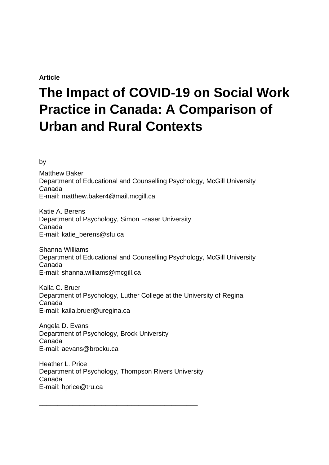## **Article**

# **The Impact of COVID-19 on Social Work Practice in Canada: A Comparison of Urban and Rural Contexts**

by

Matthew Baker Department of Educational and Counselling Psychology, McGill University Canada E-mail: matthew.baker4@mail.mcgill.ca

Katie A. Berens Department of Psychology, Simon Fraser University Canada E-mail: katie\_berens@sfu.ca

Shanna Williams Department of Educational and Counselling Psychology, McGill University Canada E-mail: shanna.williams@mcgill.ca

Kaila C. Bruer Department of Psychology, Luther College at the University of Regina Canada E-mail: kaila.bruer@uregina.ca

Angela D. Evans Department of Psychology, Brock University Canada E-mail: aevans@brocku.ca

Heather L. Price Department of Psychology, Thompson Rivers University Canada E-mail: hprice@tru.ca

\_\_\_\_\_\_\_\_\_\_\_\_\_\_\_\_\_\_\_\_\_\_\_\_\_\_\_\_\_\_\_\_\_\_\_\_\_\_\_\_\_\_\_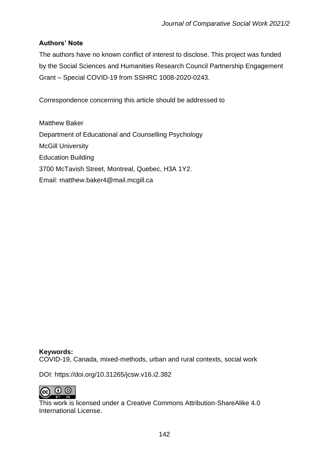# **Authors' Note**

The authors have no known conflict of interest to disclose. This project was funded by the Social Sciences and Humanities Research Council Partnership Engagement Grant – Special COVID-19 from SSHRC 1008-2020-0243.

Correspondence concerning this article should be addressed to

Matthew Baker Department of Educational and Counselling Psychology McGill University Education Building 3700 McTavish Street, Montreal, Quebec, H3A 1Y2. Email: matthew.baker4@mail.mcgill.ca

**Keywords:** COVID-19, Canada, mixed-methods, urban and rural contexts, social work

DOI: https://doi.org/10.31265/jcsw.v16.i2.382



This work is licensed under a Creative Commons Attribution-ShareAlike 4.0 International License.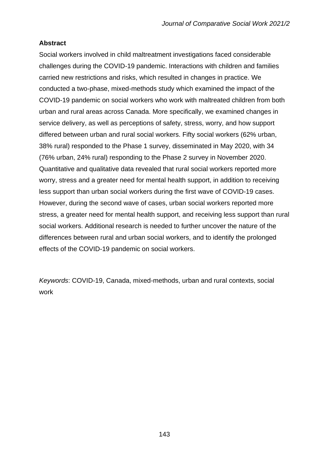## **Abstract**

Social workers involved in child maltreatment investigations faced considerable challenges during the COVID-19 pandemic. Interactions with children and families carried new restrictions and risks, which resulted in changes in practice. We conducted a two-phase, mixed-methods study which examined the impact of the COVID-19 pandemic on social workers who work with maltreated children from both urban and rural areas across Canada. More specifically, we examined changes in service delivery, as well as perceptions of safety, stress, worry, and how support differed between urban and rural social workers. Fifty social workers (62% urban, 38% rural) responded to the Phase 1 survey, disseminated in May 2020, with 34 (76% urban, 24% rural) responding to the Phase 2 survey in November 2020. Quantitative and qualitative data revealed that rural social workers reported more worry, stress and a greater need for mental health support, in addition to receiving less support than urban social workers during the first wave of COVID-19 cases. However, during the second wave of cases, urban social workers reported more stress, a greater need for mental health support, and receiving less support than rural social workers. Additional research is needed to further uncover the nature of the differences between rural and urban social workers, and to identify the prolonged effects of the COVID-19 pandemic on social workers.

*Keywords*: COVID-19, Canada, mixed-methods, urban and rural contexts, social work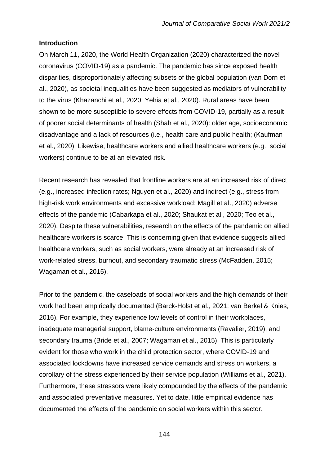## **Introduction**

On March 11, 2020, the World Health Organization (2020) characterized the novel coronavirus (COVID-19) as a pandemic. The pandemic has since exposed health disparities, disproportionately affecting subsets of the global population (van Dorn et al., 2020), as societal inequalities have been suggested as mediators of vulnerability to the virus (Khazanchi et al., 2020; Yehia et al., 2020). Rural areas have been shown to be more susceptible to severe effects from COVID-19, partially as a result of poorer social determinants of health (Shah et al., 2020): older age, socioeconomic disadvantage and a lack of resources (i.e., health care and public health; (Kaufman et al., 2020). Likewise, healthcare workers and allied healthcare workers (e.g., social workers) continue to be at an elevated risk.

Recent research has revealed that frontline workers are at an increased risk of direct (e.g., increased infection rates; Nguyen et al., 2020) and indirect (e.g., stress from high-risk work environments and excessive workload; Magill et al., 2020) adverse effects of the pandemic (Cabarkapa et al., 2020; Shaukat et al., 2020; Teo et al., 2020). Despite these vulnerabilities, research on the effects of the pandemic on allied healthcare workers is scarce. This is concerning given that evidence suggests allied healthcare workers, such as social workers, were already at an increased risk of work-related stress, burnout, and secondary traumatic stress (McFadden, 2015; Wagaman et al., 2015).

Prior to the pandemic, the caseloads of social workers and the high demands of their work had been empirically documented (Barck-Holst et al., 2021; van Berkel & Knies, 2016). For example, they experience low levels of control in their workplaces, inadequate managerial support, blame-culture environments (Ravalier, 2019), and secondary trauma (Bride et al., 2007; Wagaman et al., 2015). This is particularly evident for those who work in the child protection sector, where COVID-19 and associated lockdowns have increased service demands and stress on workers, a corollary of the stress experienced by their service population (Williams et al., 2021). Furthermore, these stressors were likely compounded by the effects of the pandemic and associated preventative measures. Yet to date, little empirical evidence has documented the effects of the pandemic on social workers within this sector.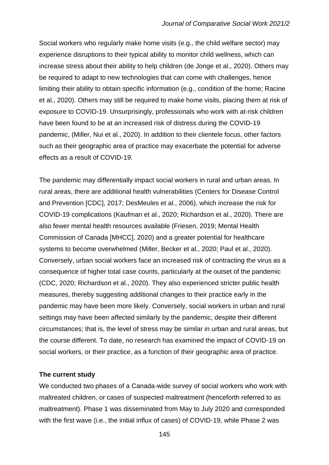Social workers who regularly make home visits (e.g., the child welfare sector) may experience disruptions to their typical ability to monitor child wellness, which can increase stress about their ability to help children (de Jonge et al., 2020). Others may be required to adapt to new technologies that can come with challenges, hence limiting their ability to obtain specific information (e.g., condition of the home; Racine et al., 2020). Others may still be required to make home visits, placing them at risk of exposure to COVID-19. Unsurprisingly, professionals who work with at-risk children have been found to be at an increased risk of distress during the COVID-19 pandemic, (Miller, Nui et al., 2020). In addition to their clientele focus, other factors such as their geographic area of practice may exacerbate the potential for adverse effects as a result of COVID-19.

The pandemic may differentially impact social workers in rural and urban areas. In rural areas, there are additional health vulnerabilities (Centers for Disease Control and Prevention [CDC], 2017; DesMeules et al., 2006), which increase the risk for COVID-19 complications (Kaufman et al., 2020; Richardson et al., 2020). There are also fewer mental health resources available (Friesen, 2019; Mental Health Commission of Canada [MHCC], 2020) and a greater potential for healthcare systems to become overwhelmed (Miller, Becker et al., 2020; Paul et al., 2020). Conversely, urban social workers face an increased risk of contracting the virus as a consequence of higher total case counts, particularly at the outset of the pandemic (CDC, 2020; Richardson et al., 2020). They also experienced stricter public health measures, thereby suggesting additional changes to their practice early in the pandemic may have been more likely. Conversely, social workers in urban and rural settings may have been affected similarly by the pandemic, despite their different circumstances; that is, the level of stress may be similar in urban and rural areas, but the course different. To date, no research has examined the impact of COVID-19 on social workers, or their practice, as a function of their geographic area of practice.

#### **The current study**

We conducted two phases of a Canada-wide survey of social workers who work with maltreated children, or cases of suspected maltreatment (henceforth referred to as maltreatment). Phase 1 was disseminated from May to July 2020 and corresponded with the first wave (i.e., the initial influx of cases) of COVID-19, while Phase 2 was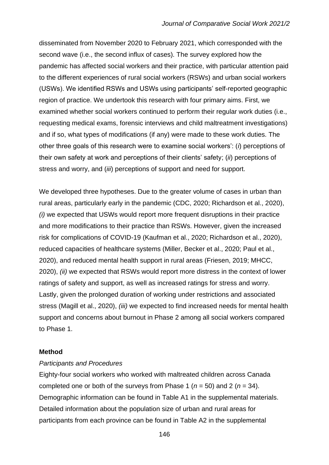disseminated from November 2020 to February 2021, which corresponded with the second wave (i.e., the second influx of cases). The survey explored how the pandemic has affected social workers and their practice, with particular attention paid to the different experiences of rural social workers (RSWs) and urban social workers (USWs). We identified RSWs and USWs using participants' self-reported geographic region of practice. We undertook this research with four primary aims. First, we examined whether social workers continued to perform their regular work duties (i.e., requesting medical exams, forensic interviews and child maltreatment investigations) and if so, what types of modifications (if any) were made to these work duties. The other three goals of this research were to examine social workers': (*i*) perceptions of their own safety at work and perceptions of their clients' safety; (*ii*) perceptions of stress and worry, and (*iii*) perceptions of support and need for support.

We developed three hypotheses. Due to the greater volume of cases in urban than rural areas, particularly early in the pandemic (CDC, 2020; Richardson et al., 2020), *(i)* we expected that USWs would report more frequent disruptions in their practice and more modifications to their practice than RSWs. However, given the increased risk for complications of COVID-19 (Kaufman et al., 2020; Richardson et al., 2020), reduced capacities of healthcare systems (Miller, Becker et al., 2020; Paul et al., 2020), and reduced mental health support in rural areas (Friesen, 2019; MHCC, 2020), *(ii)* we expected that RSWs would report more distress in the context of lower ratings of safety and support, as well as increased ratings for stress and worry. Lastly, given the prolonged duration of working under restrictions and associated stress (Magill et al., 2020), *(iii)* we expected to find increased needs for mental health support and concerns about burnout in Phase 2 among all social workers compared to Phase 1.

#### **Method**

#### *Participants and Procedures*

Eighty-four social workers who worked with maltreated children across Canada completed one or both of the surveys from Phase 1 (*n* = 50) and 2 (*n* = 34). Demographic information can be found in Table A1 in the supplemental materials. Detailed information about the population size of urban and rural areas for participants from each province can be found in Table A2 in the supplemental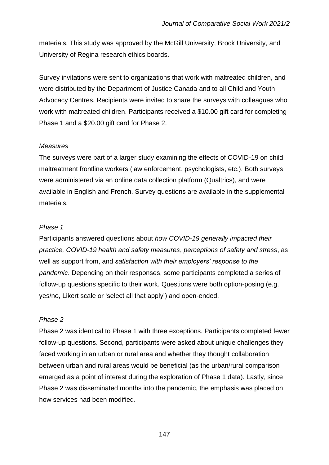materials. This study was approved by the McGill University, Brock University, and University of Regina research ethics boards.

Survey invitations were sent to organizations that work with maltreated children, and were distributed by the Department of Justice Canada and to all Child and Youth Advocacy Centres. Recipients were invited to share the surveys with colleagues who work with maltreated children. Participants received a \$10.00 gift card for completing Phase 1 and a \$20.00 gift card for Phase 2.

## *Measures*

The surveys were part of a larger study examining the effects of COVID-19 on child maltreatment frontline workers (law enforcement, psychologists, etc.). Both surveys were administered via an online data collection platform (Qualtrics), and were available in English and French. Survey questions are available in the supplemental materials.

## *Phase 1*

Participants answered questions about *how COVID-19 generally impacted their practice, COVID-19 health and safety measures*, *perceptions of safety and stress*, as well as support from, and *satisfaction with their employers' response to the pandemic*. Depending on their responses, some participants completed a series of follow-up questions specific to their work. Questions were both option-posing (e.g., yes/no, Likert scale or 'select all that apply') and open-ended.

## *Phase 2*

Phase 2 was identical to Phase 1 with three exceptions. Participants completed fewer follow-up questions. Second, participants were asked about unique challenges they faced working in an urban or rural area and whether they thought collaboration between urban and rural areas would be beneficial (as the urban/rural comparison emerged as a point of interest during the exploration of Phase 1 data). Lastly, since Phase 2 was disseminated months into the pandemic, the emphasis was placed on how services had been modified.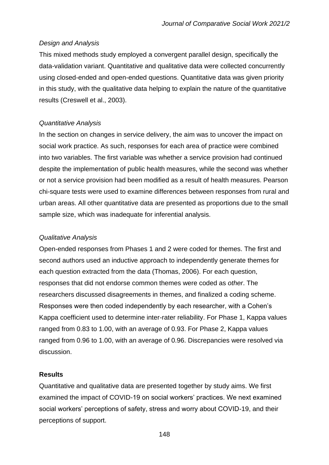## *Design and Analysis*

This mixed methods study employed a convergent parallel design, specifically the data-validation variant. Quantitative and qualitative data were collected concurrently using closed-ended and open-ended questions. Quantitative data was given priority in this study, with the qualitative data helping to explain the nature of the quantitative results (Creswell et al., 2003).

## *Quantitative Analysis*

In the section on changes in service delivery, the aim was to uncover the impact on social work practice. As such, responses for each area of practice were combined into two variables. The first variable was whether a service provision had continued despite the implementation of public health measures, while the second was whether or not a service provision had been modified as a result of health measures. Pearson chi-square tests were used to examine differences between responses from rural and urban areas. All other quantitative data are presented as proportions due to the small sample size, which was inadequate for inferential analysis.

## *Qualitative Analysis*

Open-ended responses from Phases 1 and 2 were coded for themes. The first and second authors used an inductive approach to independently generate themes for each question extracted from the data (Thomas, 2006). For each question, responses that did not endorse common themes were coded as *other*. The researchers discussed disagreements in themes, and finalized a coding scheme. Responses were then coded independently by each researcher, with a Cohen's Kappa coefficient used to determine inter-rater reliability. For Phase 1, Kappa values ranged from 0.83 to 1.00, with an average of 0.93. For Phase 2, Kappa values ranged from 0.96 to 1.00, with an average of 0.96. Discrepancies were resolved via discussion.

#### **Results**

Quantitative and qualitative data are presented together by study aims. We first examined the impact of COVID-19 on social workers' practices. We next examined social workers' perceptions of safety, stress and worry about COVID-19, and their perceptions of support.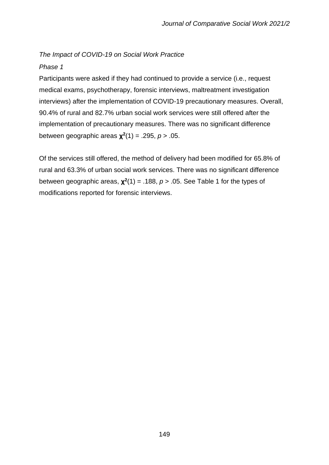# *The Impact of COVID-19 on Social Work Practice*

## *Phase 1*

Participants were asked if they had continued to provide a service (i.e., request medical exams, psychotherapy, forensic interviews, maltreatment investigation interviews) after the implementation of COVID-19 precautionary measures. Overall, 90.4% of rural and 82.7% urban social work services were still offered after the implementation of precautionary measures. There was no significant difference between geographic areas **χ 2** (1) = .295, *p* > .05.

Of the services still offered, the method of delivery had been modified for 65.8% of rural and 63.3% of urban social work services. There was no significant difference between geographic areas,  $\chi^2(1) = .188$ ,  $p > .05$ . See Table 1 for the types of modifications reported for forensic interviews.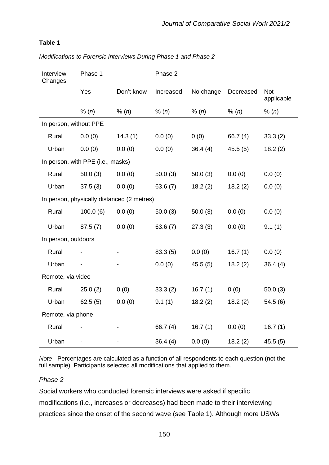# **Table 1**

| Interview<br>Changes   | Phase 1                           |                                            | Phase 2    |           |            |                          |
|------------------------|-----------------------------------|--------------------------------------------|------------|-----------|------------|--------------------------|
|                        | Yes                               | Don't know                                 | Increased  | No change | Decreased  | <b>Not</b><br>applicable |
|                        | % (n)                             | % (n)                                      | % (n)      | % (n)     | % (n)      | % (n)                    |
| In person, without PPE |                                   |                                            |            |           |            |                          |
| Rural                  | 0.0(0)                            | 14.3(1)                                    | 0.0(0)     | 0(0)      | 66.7 $(4)$ | 33.3(2)                  |
| Urban                  | 0.0(0)                            | 0.0(0)                                     | 0.0(0)     | 36.4(4)   | 45.5(5)    | 18.2(2)                  |
|                        | In person, with PPE (i.e., masks) |                                            |            |           |            |                          |
| Rural                  | 50.0(3)                           | 0.0(0)                                     | 50.0(3)    | 50.0(3)   | 0.0(0)     | 0.0(0)                   |
| Urban                  | 37.5(3)                           | 0.0(0)                                     | 63.6(7)    | 18.2(2)   | 18.2(2)    | 0.0(0)                   |
|                        |                                   | In person, physically distanced (2 metres) |            |           |            |                          |
| Rural                  | 100.0(6)                          | 0.0(0)                                     | 50.0(3)    | 50.0(3)   | 0.0(0)     | 0.0(0)                   |
| Urban                  | 87.5(7)                           | 0.0(0)                                     | 63.6(7)    | 27.3(3)   | 0.0(0)     | 9.1(1)                   |
| In person, outdoors    |                                   |                                            |            |           |            |                          |
| Rural                  |                                   |                                            | 83.3(5)    | 0.0(0)    | 16.7(1)    | 0.0(0)                   |
| Urban                  |                                   |                                            | 0.0(0)     | 45.5(5)   | 18.2(2)    | 36.4(4)                  |
| Remote, via video      |                                   |                                            |            |           |            |                          |
| Rural                  | 25.0(2)                           | 0(0)                                       | 33.3(2)    | 16.7(1)   | 0(0)       | 50.0(3)                  |
| Urban                  | 62.5(5)                           | 0.0(0)                                     | 9.1(1)     | 18.2(2)   | 18.2(2)    | 54.5(6)                  |
| Remote, via phone      |                                   |                                            |            |           |            |                          |
| Rural                  |                                   |                                            | 66.7 $(4)$ | 16.7(1)   | 0.0(0)     | 16.7(1)                  |
| Urban                  |                                   |                                            | 36.4(4)    | 0.0(0)    | 18.2(2)    | 45.5(5)                  |

*Modifications to Forensic Interviews During Phase 1 and Phase 2* 

*Note -* Percentages are calculated as a function of all respondents to each question (not the full sample). Participants selected all modifications that applied to them.

#### *Phase 2*

Social workers who conducted forensic interviews were asked if specific modifications (i.e., increases or decreases) had been made to their interviewing practices since the onset of the second wave (see Table 1). Although more USWs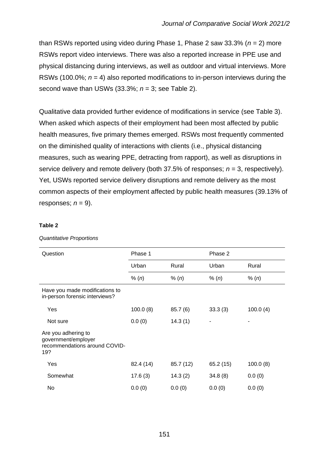than RSWs reported using video during Phase 1, Phase 2 saw 33.3% (*n* = 2) more RSWs report video interviews. There was also a reported increase in PPE use and physical distancing during interviews, as well as outdoor and virtual interviews. More RSWs (100.0%; *n* = 4) also reported modifications to in-person interviews during the second wave than USWs (33.3%; *n* = 3; see Table 2).

Qualitative data provided further evidence of modifications in service (see Table 3). When asked which aspects of their employment had been most affected by public health measures, five primary themes emerged. RSWs most frequently commented on the diminished quality of interactions with clients (i.e., physical distancing measures, such as wearing PPE, detracting from rapport), as well as disruptions in service delivery and remote delivery (both 37.5% of responses; *n* = 3, respectively). Yet, USWs reported service delivery disruptions and remote delivery as the most common aspects of their employment affected by public health measures (39.13% of responses;  $n = 9$ ).

#### **Table 2**

| Question                                                                           | Phase 1   |           | Phase 2   |          |
|------------------------------------------------------------------------------------|-----------|-----------|-----------|----------|
|                                                                                    | Urban     | Rural     | Urban     | Rural    |
|                                                                                    | % (n)     | % (n)     | % (n)     | % (n)    |
| Have you made modifications to<br>in-person forensic interviews?                   |           |           |           |          |
| Yes                                                                                | 100.0(8)  | 85.7(6)   | 33.3(3)   | 100.0(4) |
| Not sure                                                                           | 0.0(0)    | 14.3(1)   |           |          |
| Are you adhering to<br>government/employer<br>recommendations around COVID-<br>19? |           |           |           |          |
| Yes                                                                                | 82.4 (14) | 85.7 (12) | 65.2 (15) | 100.0(8) |
| Somewhat                                                                           | 17.6(3)   | 14.3(2)   | 34.8(8)   | 0.0(0)   |
| No.                                                                                | 0.0(0)    | 0.0(0)    | 0.0(0)    | 0.0(0)   |

*Quantitative Proportions*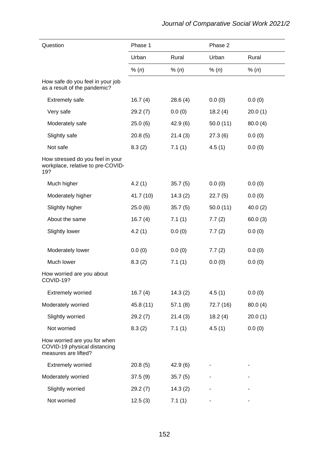| Question                                                                             | Phase 1   |         | Phase 2   |         |
|--------------------------------------------------------------------------------------|-----------|---------|-----------|---------|
|                                                                                      | Urban     | Rural   | Urban     | Rural   |
|                                                                                      | % (n)     | % (n)   | % (n)     | % (n)   |
| How safe do you feel in your job<br>as a result of the pandemic?                     |           |         |           |         |
| <b>Extremely safe</b>                                                                | 16.7(4)   | 28.6(4) | 0.0(0)    | 0.0(0)  |
| Very safe                                                                            | 29.2(7)   | 0.0(0)  | 18.2(4)   | 20.0(1) |
| Moderately safe                                                                      | 25.0(6)   | 42.9(6) | 50.0(11)  | 80.0(4) |
| Slightly safe                                                                        | 20.8(5)   | 21.4(3) | 27.3(6)   | 0.0(0)  |
| Not safe                                                                             | 8.3(2)    | 7.1(1)  | 4.5(1)    | 0.0(0)  |
| How stressed do you feel in your<br>workplace, relative to pre-COVID-<br>19?         |           |         |           |         |
| Much higher                                                                          | 4.2(1)    | 35.7(5) | 0.0(0)    | 0.0(0)  |
| Moderately higher                                                                    | 41.7 (10) | 14.3(2) | 22.7(5)   | 0.0(0)  |
| Slightly higher                                                                      | 25.0(6)   | 35.7(5) | 50.0(11)  | 40.0(2) |
| About the same                                                                       | 16.7(4)   | 7.1(1)  | 7.7(2)    | 60.0(3) |
| Slightly lower                                                                       | 4.2(1)    | 0.0(0)  | 7.7(2)    | 0.0(0)  |
| Moderately lower                                                                     | 0.0(0)    | 0.0(0)  | 7.7(2)    | 0.0(0)  |
| Much lower                                                                           | 8.3(2)    | 7.1(1)  | 0.0(0)    | 0.0(0)  |
| How worried are you about<br>COVID-19?                                               |           |         |           |         |
| <b>Extremely worried</b>                                                             | 16.7(4)   | 14.3(2) | 4.5(1)    | 0.0(0)  |
| Moderately worried                                                                   | 45.8 (11) | 57.1(8) | 72.7 (16) | 80.0(4) |
| Slightly worried                                                                     | 29.2(7)   | 21.4(3) | 18.2(4)   | 20.0(1) |
| Not worried                                                                          | 8.3(2)    | 7.1(1)  | 4.5(1)    | 0.0(0)  |
| How worried are you for when<br>COVID-19 physical distancing<br>measures are lifted? |           |         |           |         |
| <b>Extremely worried</b>                                                             | 20.8(5)   | 42.9(6) |           |         |
| Moderately worried                                                                   | 37.5(9)   | 35.7(5) |           |         |
| Slightly worried                                                                     | 29.2(7)   | 14.3(2) |           |         |
| Not worried                                                                          | 12.5(3)   | 7.1(1)  |           |         |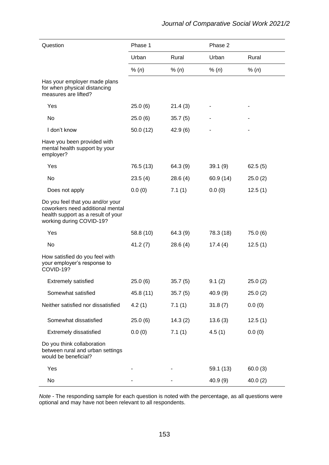| Question                                                                                                                               | Phase 1   |          | Phase 2   |         |
|----------------------------------------------------------------------------------------------------------------------------------------|-----------|----------|-----------|---------|
|                                                                                                                                        | Urban     | Rural    | Urban     | Rural   |
|                                                                                                                                        | % (n)     | % (n)    | % (n)     | % (n)   |
| Has your employer made plans<br>for when physical distancing<br>measures are lifted?                                                   |           |          |           |         |
| Yes                                                                                                                                    | 25.0(6)   | 21.4(3)  |           |         |
| No                                                                                                                                     | 25.0(6)   | 35.7(5)  |           |         |
| I don't know                                                                                                                           | 50.0(12)  | 42.9(6)  |           |         |
| Have you been provided with<br>mental health support by your<br>employer?                                                              |           |          |           |         |
| Yes                                                                                                                                    | 76.5 (13) | 64.3 (9) | 39.1(9)   | 62.5(5) |
| No                                                                                                                                     | 23.5(4)   | 28.6(4)  | 60.9(14)  | 25.0(2) |
| Does not apply                                                                                                                         | 0.0(0)    | 7.1(1)   | 0.0(0)    | 12.5(1) |
| Do you feel that you and/or your<br>coworkers need additional mental<br>health support as a result of your<br>working during COVID-19? |           |          |           |         |
| Yes                                                                                                                                    | 58.8 (10) | 64.3 (9) | 78.3 (18) | 75.0(6) |
| No                                                                                                                                     | 41.2(7)   | 28.6(4)  | 17.4(4)   | 12.5(1) |
| How satisfied do you feel with<br>your employer's response to<br>COVID-19?                                                             |           |          |           |         |
| <b>Extremely satisfied</b>                                                                                                             | 25.0(6)   | 35.7(5)  | 9.1(2)    | 25.0(2) |
| Somewhat satisfied                                                                                                                     | 45.8 (11) | 35.7(5)  | 40.9(9)   | 25.0(2) |
| Neither satisfied nor dissatisfied                                                                                                     | 4.2(1)    | 7.1(1)   | 31.8(7)   | 0.0(0)  |
| Somewhat dissatisfied                                                                                                                  | 25.0(6)   | 14.3(2)  | 13.6(3)   | 12.5(1) |
| <b>Extremely dissatisfied</b>                                                                                                          | 0.0(0)    | 7.1(1)   | 4.5(1)    | 0.0(0)  |
| Do you think collaboration<br>between rural and urban settings<br>would be beneficial?                                                 |           |          |           |         |
| Yes                                                                                                                                    |           |          | 59.1 (13) | 60.0(3) |
| No                                                                                                                                     |           |          | 40.9(9)   | 40.0(2) |

*Note -* The responding sample for each question is noted with the percentage, as all questions were optional and may have not been relevant to all respondents.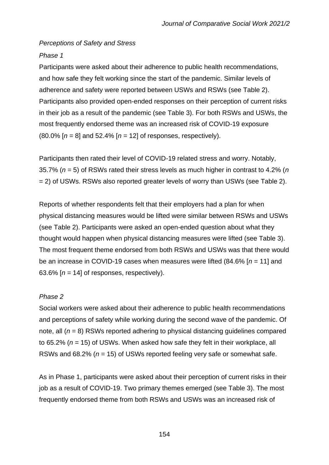## *Perceptions of Safety and Stress*

# *Phase 1*

Participants were asked about their adherence to public health recommendations, and how safe they felt working since the start of the pandemic. Similar levels of adherence and safety were reported between USWs and RSWs (see Table 2). Participants also provided open-ended responses on their perception of current risks in their job as a result of the pandemic (see Table 3). For both RSWs and USWs, the most frequently endorsed theme was an increased risk of COVID-19 exposure (80.0% [*n* = 8] and 52.4% [*n* = 12] of responses, respectively).

Participants then rated their level of COVID-19 related stress and worry. Notably, 35.7% (*n* = 5) of RSWs rated their stress levels as much higher in contrast to 4.2% (*n*  = 2) of USWs. RSWs also reported greater levels of worry than USWs (see Table 2).

Reports of whether respondents felt that their employers had a plan for when physical distancing measures would be lifted were similar between RSWs and USWs (see Table 2). Participants were asked an open-ended question about what they thought would happen when physical distancing measures were lifted (see Table 3). The most frequent theme endorsed from both RSWs and USWs was that there would be an increase in COVID-19 cases when measures were lifted (84.6% [*n* = 11] and 63.6%  $[n = 14]$  of responses, respectively).

# *Phase 2*

Social workers were asked about their adherence to public health recommendations and perceptions of safety while working during the second wave of the pandemic. Of note, all (*n* = 8) RSWs reported adhering to physical distancing guidelines compared to 65.2% (*n* = 15) of USWs. When asked how safe they felt in their workplace, all RSWs and 68.2% (*n* = 15) of USWs reported feeling very safe or somewhat safe.

As in Phase 1, participants were asked about their perception of current risks in their job as a result of COVID-19. Two primary themes emerged (see Table 3). The most frequently endorsed theme from both RSWs and USWs was an increased risk of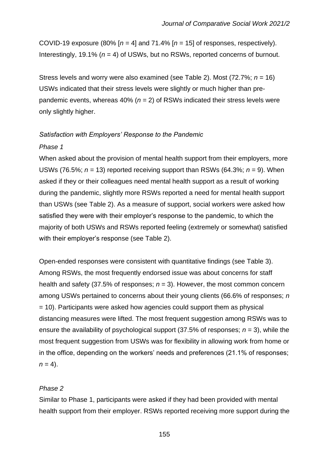COVID-19 exposure  $(80\%$  [ $n = 4$ ] and 71.4% [ $n = 15$ ] of responses, respectively). Interestingly, 19.1% (*n* = 4) of USWs, but no RSWs, reported concerns of burnout.

Stress levels and worry were also examined (see Table 2). Most (72.7%; *n* = 16) USWs indicated that their stress levels were slightly or much higher than prepandemic events, whereas  $40\%$  ( $n = 2$ ) of RSWs indicated their stress levels were only slightly higher.

## *Satisfaction with Employers' Response to the Pandemic*

#### *Phase 1*

When asked about the provision of mental health support from their employers, more USWs (76.5%;  $n = 13$ ) reported receiving support than RSWs (64.3%;  $n = 9$ ). When asked if they or their colleagues need mental health support as a result of working during the pandemic, slightly more RSWs reported a need for mental health support than USWs (see Table 2). As a measure of support, social workers were asked how satisfied they were with their employer's response to the pandemic, to which the majority of both USWs and RSWs reported feeling (extremely or somewhat) satisfied with their employer's response (see Table 2).

Open-ended responses were consistent with quantitative findings (see Table 3). Among RSWs, the most frequently endorsed issue was about concerns for staff health and safety (37.5% of responses;  $n = 3$ ). However, the most common concern among USWs pertained to concerns about their young clients (66.6% of responses; *n* = 10). Participants were asked how agencies could support them as physical distancing measures were lifted. The most frequent suggestion among RSWs was to ensure the availability of psychological support (37.5% of responses; *n* = 3), while the most frequent suggestion from USWs was for flexibility in allowing work from home or in the office, depending on the workers' needs and preferences (21.1% of responses;  $n = 4$ ).

#### *Phase 2*

Similar to Phase 1, participants were asked if they had been provided with mental health support from their employer. RSWs reported receiving more support during the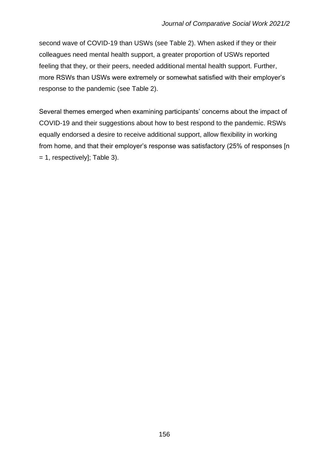second wave of COVID-19 than USWs (see Table 2). When asked if they or their colleagues need mental health support, a greater proportion of USWs reported feeling that they, or their peers, needed additional mental health support. Further, more RSWs than USWs were extremely or somewhat satisfied with their employer's response to the pandemic (see Table 2).

Several themes emerged when examining participants' concerns about the impact of COVID-19 and their suggestions about how to best respond to the pandemic. RSWs equally endorsed a desire to receive additional support, allow flexibility in working from home, and that their employer's response was satisfactory (25% of responses [n = 1, respectively]; Table 3).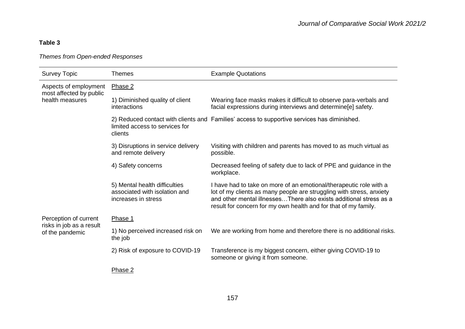# **Table 3**

## *Themes from Open-ended Responses*

| <b>Survey Topic</b>                                                 | <b>Themes</b>                                                                         | <b>Example Quotations</b>                                                                                                                                                                                                                                                           |
|---------------------------------------------------------------------|---------------------------------------------------------------------------------------|-------------------------------------------------------------------------------------------------------------------------------------------------------------------------------------------------------------------------------------------------------------------------------------|
| Aspects of employment<br>most affected by public<br>health measures | Phase 2                                                                               |                                                                                                                                                                                                                                                                                     |
|                                                                     | 1) Diminished quality of client<br>interactions                                       | Wearing face masks makes it difficult to observe para-verbals and<br>facial expressions during interviews and determine[e] safety.                                                                                                                                                  |
|                                                                     | limited access to services for<br>clients                                             | 2) Reduced contact with clients and Families' access to supportive services has diminished.                                                                                                                                                                                         |
|                                                                     | 3) Disruptions in service delivery<br>and remote delivery                             | Visiting with children and parents has moved to as much virtual as<br>possible.                                                                                                                                                                                                     |
|                                                                     | 4) Safety concerns                                                                    | Decreased feeling of safety due to lack of PPE and guidance in the<br>workplace.                                                                                                                                                                                                    |
|                                                                     | 5) Mental health difficulties<br>associated with isolation and<br>increases in stress | I have had to take on more of an emotional/therapeutic role with a<br>lot of my clients as many people are struggling with stress, anxiety<br>and other mental illnessesThere also exists additional stress as a<br>result for concern for my own health and for that of my family. |
| Perception of current                                               | Phase 1                                                                               |                                                                                                                                                                                                                                                                                     |
| risks in job as a result<br>of the pandemic                         | 1) No perceived increased risk on<br>the job                                          | We are working from home and therefore there is no additional risks.                                                                                                                                                                                                                |
|                                                                     | 2) Risk of exposure to COVID-19                                                       | Transference is my biggest concern, either giving COVID-19 to<br>someone or giving it from someone.                                                                                                                                                                                 |
|                                                                     | Phase 2                                                                               |                                                                                                                                                                                                                                                                                     |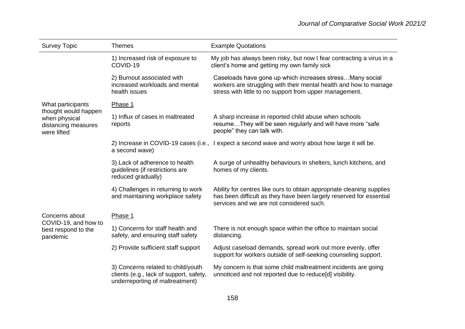| <b>Survey Topic</b>                                                         | <b>Themes</b>                                                                                                    | <b>Example Quotations</b>                                                                                                                                                                 |
|-----------------------------------------------------------------------------|------------------------------------------------------------------------------------------------------------------|-------------------------------------------------------------------------------------------------------------------------------------------------------------------------------------------|
|                                                                             | 1) Increased risk of exposure to<br>COVID-19                                                                     | My job has always been risky, but now I fear contracting a virus in a<br>client's home and getting my own family sick                                                                     |
|                                                                             | 2) Burnout associated with<br>increased workloads and mental<br>health issues                                    | Caseloads have gone up which increases stress Many social<br>workers are struggling with their mental health and how to manage<br>stress with little to no support from upper management. |
| What participants                                                           | Phase 1                                                                                                          |                                                                                                                                                                                           |
| thought would happen<br>when physical<br>distancing measures<br>were lifted | 1) Influx of cases in maltreated<br>reports                                                                      | A sharp increase in reported child abuse when schools<br>resumeThey will be seen regularly and will have more "safe<br>people" they can talk with.                                        |
|                                                                             | a second wave)                                                                                                   | 2) Increase in COVID-19 cases (i.e., I expect a second wave and worry about how large it will be.                                                                                         |
|                                                                             | 3) Lack of adherence to health<br>guidelines (if restrictions are<br>reduced gradually)                          | A surge of unhealthy behaviours in shelters, lunch kitchens, and<br>homes of my clients.                                                                                                  |
|                                                                             | 4) Challenges in returning to work<br>and maintaining workplace safety                                           | Ability for centres like ours to obtain appropriate cleaning supplies<br>has been difficult as they have been largely reserved for essential<br>services and we are not considered such.  |
| Concerns about<br>COVID-19, and how to<br>best respond to the<br>pandemic   | Phase 1                                                                                                          |                                                                                                                                                                                           |
|                                                                             | 1) Concerns for staff health and<br>safety, and ensuring staff safety                                            | There is not enough space within the office to maintain social<br>distancing.                                                                                                             |
|                                                                             | 2) Provide sufficient staff support                                                                              | Adjust caseload demands, spread work out more evenly, offer<br>support for workers outside of self-seeking counseling support.                                                            |
|                                                                             | 3) Concerns related to child/youth<br>clients (e.g., lack of support, safety,<br>underreporting of maltreatment) | My concern is that some child maltreatment incidents are going<br>unnoticed and not reported due to reduce[d] visibility.                                                                 |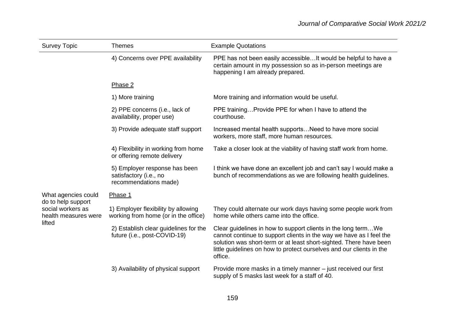| <b>Survey Topic</b>                                             | <b>Themes</b>                                                                    | <b>Example Quotations</b>                                                                                                                                                                                                                                                                      |
|-----------------------------------------------------------------|----------------------------------------------------------------------------------|------------------------------------------------------------------------------------------------------------------------------------------------------------------------------------------------------------------------------------------------------------------------------------------------|
|                                                                 | 4) Concerns over PPE availability                                                | PPE has not been easily accessible It would be helpful to have a<br>certain amount in my possession so as in-person meetings are<br>happening I am already prepared.                                                                                                                           |
|                                                                 | Phase 2                                                                          |                                                                                                                                                                                                                                                                                                |
|                                                                 | 1) More training                                                                 | More training and information would be useful.                                                                                                                                                                                                                                                 |
|                                                                 | 2) PPE concerns (i.e., lack of<br>availability, proper use)                      | PPE trainingProvide PPE for when I have to attend the<br>courthouse.                                                                                                                                                                                                                           |
|                                                                 | 3) Provide adequate staff support                                                | Increased mental health supports Need to have more social<br>workers, more staff, more human resources.                                                                                                                                                                                        |
|                                                                 | 4) Flexibility in working from home<br>or offering remote delivery               | Take a closer look at the viability of having staff work from home.                                                                                                                                                                                                                            |
|                                                                 | 5) Employer response has been<br>satisfactory (i.e., no<br>recommendations made) | I think we have done an excellent job and can't say I would make a<br>bunch of recommendations as we are following health guidelines.                                                                                                                                                          |
| What agencies could                                             | Phase 1                                                                          |                                                                                                                                                                                                                                                                                                |
| do to help support<br>social workers as<br>health measures were | 1) Employer flexibility by allowing<br>working from home (or in the office)      | They could alternate our work days having some people work from<br>home while others came into the office.                                                                                                                                                                                     |
| lifted                                                          | 2) Establish clear guidelines for the<br>future (i.e., post-COVID-19)            | Clear guidelines in how to support clients in the long term We<br>cannot continue to support clients in the way we have as I feel the<br>solution was short-term or at least short-sighted. There have been<br>little guidelines on how to protect ourselves and our clients in the<br>office. |
|                                                                 | 3) Availability of physical support                                              | Provide more masks in a timely manner - just received our first<br>supply of 5 masks last week for a staff of 40.                                                                                                                                                                              |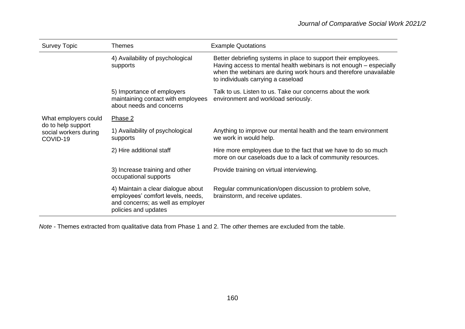| <b>Survey Topic</b>                                     | <b>Themes</b>                                                                                                                        | <b>Example Quotations</b>                                                                                                                                                                                                                       |
|---------------------------------------------------------|--------------------------------------------------------------------------------------------------------------------------------------|-------------------------------------------------------------------------------------------------------------------------------------------------------------------------------------------------------------------------------------------------|
|                                                         | 4) Availability of psychological<br>supports                                                                                         | Better debriefing systems in place to support their employees.<br>Having access to mental health webinars is not enough – especially<br>when the webinars are during work hours and therefore unavailable<br>to individuals carrying a caseload |
|                                                         | 5) Importance of employers<br>maintaining contact with employees<br>about needs and concerns                                         | Talk to us. Listen to us. Take our concerns about the work<br>environment and workload seriously.                                                                                                                                               |
| What employers could                                    | Phase 2                                                                                                                              |                                                                                                                                                                                                                                                 |
| do to help support<br>social workers during<br>COVID-19 | 1) Availability of psychological<br>supports                                                                                         | Anything to improve our mental health and the team environment<br>we work in would help.                                                                                                                                                        |
|                                                         | 2) Hire additional staff                                                                                                             | Hire more employees due to the fact that we have to do so much<br>more on our caseloads due to a lack of community resources.                                                                                                                   |
|                                                         | 3) Increase training and other<br>occupational supports                                                                              | Provide training on virtual interviewing.                                                                                                                                                                                                       |
|                                                         | 4) Maintain a clear dialogue about<br>employees' comfort levels, needs,<br>and concerns; as well as employer<br>policies and updates | Regular communication/open discussion to problem solve,<br>brainstorm, and receive updates.                                                                                                                                                     |

*Note -* Themes extracted from qualitative data from Phase 1 and 2. The *other* themes are excluded from the table.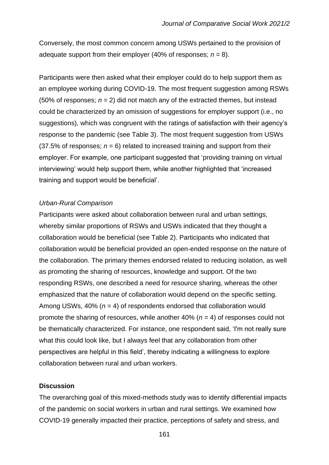Conversely, the most common concern among USWs pertained to the provision of adequate support from their employer (40% of responses;  $n = 8$ ).

Participants were then asked what their employer could do to help support them as an employee working during COVID-19. The most frequent suggestion among RSWs (50% of responses;  $n = 2$ ) did not match any of the extracted themes, but instead could be characterized by an omission of suggestions for employer support (i.e., no suggestions), which was congruent with the ratings of satisfaction with their agency's response to the pandemic (see Table 3). The most frequent suggestion from USWs  $(37.5\%$  of responses;  $n = 6$ ) related to increased training and support from their employer. For example, one participant suggested that 'providing training on virtual interviewing' would help support them, while another highlighted that 'increased training and support would be beneficial'.

#### *Urban-Rural Comparison*

Participants were asked about collaboration between rural and urban settings, whereby similar proportions of RSWs and USWs indicated that they thought a collaboration would be beneficial (see Table 2). Participants who indicated that collaboration would be beneficial provided an open-ended response on the nature of the collaboration. The primary themes endorsed related to reducing isolation, as well as promoting the sharing of resources, knowledge and support. Of the two responding RSWs, one described a need for resource sharing, whereas the other emphasized that the nature of collaboration would depend on the specific setting. Among USWs, 40% (*n* = 4) of respondents endorsed that collaboration would promote the sharing of resources, while another 40% (*n* = 4) of responses could not be thematically characterized. For instance, one respondent said, 'I'm not really sure what this could look like, but I always feel that any collaboration from other perspectives are helpful in this field', thereby indicating a willingness to explore collaboration between rural and urban workers.

#### **Discussion**

The overarching goal of this mixed-methods study was to identify differential impacts of the pandemic on social workers in urban and rural settings. We examined how COVID-19 generally impacted their practice, perceptions of safety and stress, and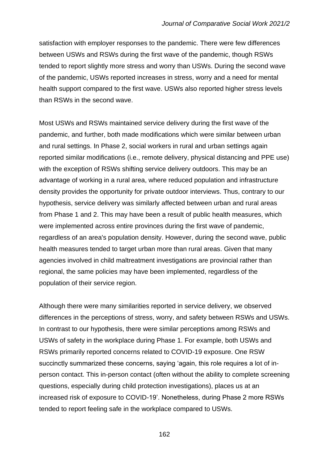satisfaction with employer responses to the pandemic. There were few differences between USWs and RSWs during the first wave of the pandemic, though RSWs tended to report slightly more stress and worry than USWs. During the second wave of the pandemic, USWs reported increases in stress, worry and a need for mental health support compared to the first wave. USWs also reported higher stress levels than RSWs in the second wave.

Most USWs and RSWs maintained service delivery during the first wave of the pandemic, and further, both made modifications which were similar between urban and rural settings. In Phase 2, social workers in rural and urban settings again reported similar modifications (i.e., remote delivery, physical distancing and PPE use) with the exception of RSWs shifting service delivery outdoors. This may be an advantage of working in a rural area, where reduced population and infrastructure density provides the opportunity for private outdoor interviews. Thus, contrary to our hypothesis, service delivery was similarly affected between urban and rural areas from Phase 1 and 2. This may have been a result of public health measures, which were implemented across entire provinces during the first wave of pandemic, regardless of an area's population density. However, during the second wave, public health measures tended to target urban more than rural areas. Given that many agencies involved in child maltreatment investigations are provincial rather than regional, the same policies may have been implemented, regardless of the population of their service region.

Although there were many similarities reported in service delivery, we observed differences in the perceptions of stress, worry, and safety between RSWs and USWs. In contrast to our hypothesis, there were similar perceptions among RSWs and USWs of safety in the workplace during Phase 1. For example, both USWs and RSWs primarily reported concerns related to COVID-19 exposure. One RSW succinctly summarized these concerns, saying 'again, this role requires a lot of inperson contact. This in-person contact (often without the ability to complete screening questions, especially during child protection investigations), places us at an increased risk of exposure to COVID-19'. Nonetheless, during Phase 2 more RSWs tended to report feeling safe in the workplace compared to USWs.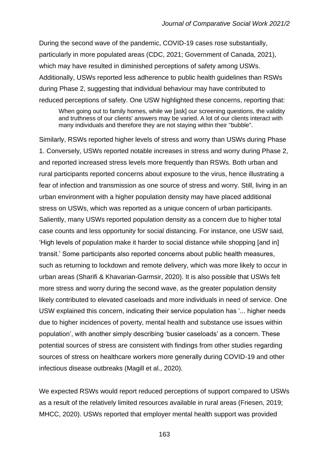During the second wave of the pandemic, COVID-19 cases rose substantially, particularly in more populated areas (CDC, 2021; Government of Canada, 2021), which may have resulted in diminished perceptions of safety among USWs. Additionally, USWs reported less adherence to public health guidelines than RSWs during Phase 2, suggesting that individual behaviour may have contributed to reduced perceptions of safety. One USW highlighted these concerns, reporting that:

When going out to family homes, while we [ask] our screening questions, the validity and truthness of our clients' answers may be varied. A lot of our clients interact with many individuals and therefore they are not staying within their "bubble".

Similarly, RSWs reported higher levels of stress and worry than USWs during Phase 1. Conversely, USWs reported notable increases in stress and worry during Phase 2, and reported increased stress levels more frequently than RSWs. Both urban and rural participants reported concerns about exposure to the virus, hence illustrating a fear of infection and transmission as one source of stress and worry. Still, living in an urban environment with a higher population density may have placed additional stress on USWs, which was reported as a unique concern of urban participants. Saliently, many USWs reported population density as a concern due to higher total case counts and less opportunity for social distancing. For instance, one USW said, 'High levels of population make it harder to social distance while shopping [and in] transit.' Some participants also reported concerns about public health measures, such as returning to lockdown and remote delivery, which was more likely to occur in urban areas (Sharifi & Khavarian-Garmsir, 2020). It is also possible that USWs felt more stress and worry during the second wave, as the greater population density likely contributed to elevated caseloads and more individuals in need of service. One USW explained this concern, indicating their service population has '... higher needs due to higher incidences of poverty, mental health and substance use issues within population', with another simply describing 'busier caseloads' as a concern. These potential sources of stress are consistent with findings from other studies regarding sources of stress on healthcare workers more generally during COVID-19 and other infectious disease outbreaks (Magill et al., 2020).

We expected RSWs would report reduced perceptions of support compared to USWs as a result of the relatively limited resources available in rural areas (Friesen, 2019; MHCC, 2020). USWs reported that employer mental health support was provided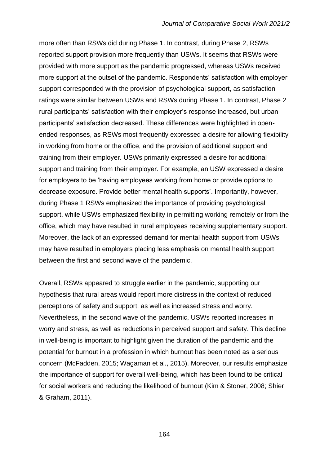more often than RSWs did during Phase 1. In contrast, during Phase 2, RSWs reported support provision more frequently than USWs. It seems that RSWs were provided with more support as the pandemic progressed, whereas USWs received more support at the outset of the pandemic. Respondents' satisfaction with employer support corresponded with the provision of psychological support, as satisfaction ratings were similar between USWs and RSWs during Phase 1. In contrast, Phase 2 rural participants' satisfaction with their employer's response increased, but urban participants' satisfaction decreased. These differences were highlighted in openended responses, as RSWs most frequently expressed a desire for allowing flexibility in working from home or the office, and the provision of additional support and training from their employer. USWs primarily expressed a desire for additional support and training from their employer. For example, an USW expressed a desire for employers to be 'having employees working from home or provide options to decrease exposure. Provide better mental health supports'. Importantly, however, during Phase 1 RSWs emphasized the importance of providing psychological support, while USWs emphasized flexibility in permitting working remotely or from the office, which may have resulted in rural employees receiving supplementary support. Moreover, the lack of an expressed demand for mental health support from USWs may have resulted in employers placing less emphasis on mental health support between the first and second wave of the pandemic.

Overall, RSWs appeared to struggle earlier in the pandemic, supporting our hypothesis that rural areas would report more distress in the context of reduced perceptions of safety and support, as well as increased stress and worry. Nevertheless, in the second wave of the pandemic, USWs reported increases in worry and stress, as well as reductions in perceived support and safety. This decline in well-being is important to highlight given the duration of the pandemic and the potential for burnout in a profession in which burnout has been noted as a serious concern (McFadden, 2015; Wagaman et al., 2015). Moreover, our results emphasize the importance of support for overall well-being, which has been found to be critical for social workers and reducing the likelihood of burnout (Kim & Stoner, 2008; Shier & Graham, 2011).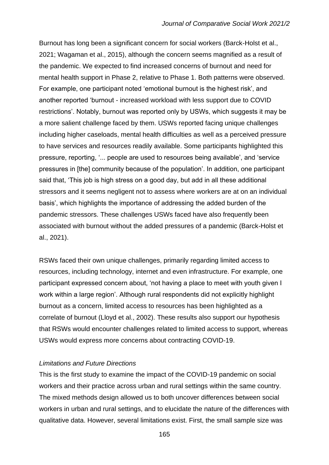Burnout has long been a significant concern for social workers (Barck-Holst et al., 2021; Wagaman et al., 2015), although the concern seems magnified as a result of the pandemic. We expected to find increased concerns of burnout and need for mental health support in Phase 2, relative to Phase 1. Both patterns were observed. For example, one participant noted 'emotional burnout is the highest risk', and another reported 'burnout - increased workload with less support due to COVID restrictions'. Notably, burnout was reported only by USWs, which suggests it may be a more salient challenge faced by them. USWs reported facing unique challenges including higher caseloads, mental health difficulties as well as a perceived pressure to have services and resources readily available. Some participants highlighted this pressure, reporting, '... people are used to resources being available', and 'service pressures in [the] community because of the population'. In addition, one participant said that, 'This job is high stress on a good day, but add in all these additional stressors and it seems negligent not to assess where workers are at on an individual basis', which highlights the importance of addressing the added burden of the pandemic stressors. These challenges USWs faced have also frequently been associated with burnout without the added pressures of a pandemic (Barck-Holst et al., 2021).

RSWs faced their own unique challenges, primarily regarding limited access to resources, including technology, internet and even infrastructure. For example, one participant expressed concern about, 'not having a place to meet with youth given I work within a large region'. Although rural respondents did not explicitly highlight burnout as a concern, limited access to resources has been highlighted as a correlate of burnout (Lloyd et al., 2002). These results also support our hypothesis that RSWs would encounter challenges related to limited access to support, whereas USWs would express more concerns about contracting COVID-19.

#### *Limitations and Future Directions*

This is the first study to examine the impact of the COVID-19 pandemic on social workers and their practice across urban and rural settings within the same country. The mixed methods design allowed us to both uncover differences between social workers in urban and rural settings, and to elucidate the nature of the differences with qualitative data. However, several limitations exist. First, the small sample size was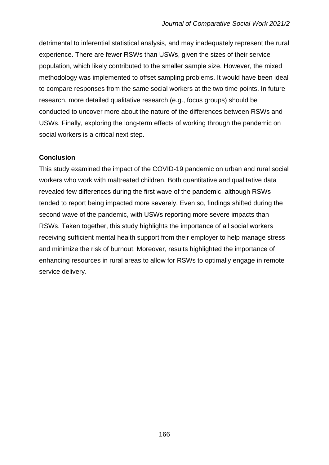detrimental to inferential statistical analysis, and may inadequately represent the rural experience. There are fewer RSWs than USWs, given the sizes of their service population, which likely contributed to the smaller sample size. However, the mixed methodology was implemented to offset sampling problems. It would have been ideal to compare responses from the same social workers at the two time points. In future research, more detailed qualitative research (e.g., focus groups) should be conducted to uncover more about the nature of the differences between RSWs and USWs. Finally, exploring the long-term effects of working through the pandemic on social workers is a critical next step.

## **Conclusion**

This study examined the impact of the COVID-19 pandemic on urban and rural social workers who work with maltreated children. Both quantitative and qualitative data revealed few differences during the first wave of the pandemic, although RSWs tended to report being impacted more severely. Even so, findings shifted during the second wave of the pandemic, with USWs reporting more severe impacts than RSWs. Taken together, this study highlights the importance of all social workers receiving sufficient mental health support from their employer to help manage stress and minimize the risk of burnout. Moreover, results highlighted the importance of enhancing resources in rural areas to allow for RSWs to optimally engage in remote service delivery.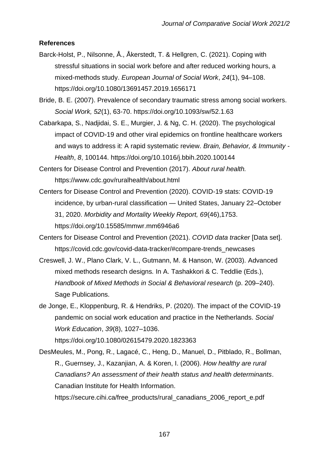## **References**

- Barck-Holst, P., Nilsonne, Å., Åkerstedt, T. & Hellgren, C. (2021). Coping with stressful situations in social work before and after reduced working hours, a mixed-methods study. *European Journal of Social Work*, *24*(1), 94–108. https://doi.org/10.1080/13691457.2019.1656171
- Bride, B. E. (2007). Prevalence of secondary traumatic stress among social workers. *Social Work, 52*(1), 63-70. https://doi.org/10.1093/sw/52.1.63
- Cabarkapa, S., Nadjidai, S. E., Murgier, J. & Ng, C. H. (2020). The psychological impact of COVID-19 and other viral epidemics on frontline healthcare workers and ways to address it: A rapid systematic review. *Brain, Behavior, & Immunity - Health*, *8*, 100144. https://doi.org/10.1016/j.bbih.2020.100144
- Centers for Disease Control and Prevention (2017). *About rural health.*  https://www.cdc.gov/ruralhealth/about.html
- Centers for Disease Control and Prevention (2020). COVID-19 stats: COVID-19 incidence, by urban-rural classification — United States, January 22–October 31, 2020. *Morbidity and Mortality Weekly Report, 69*(46),1753. https://doi.org/10.15585/mmwr.mm6946a6
- Centers for Disease Control and Prevention (2021). *COVID data tracker* [Data set]. https://covid.cdc.gov/covid-data-tracker/#compare-trends\_newcases
- Creswell, J. W., Plano Clark, V. L., Gutmann, M. & Hanson, W. (2003). Advanced mixed methods research designs*.* In A. Tashakkori & C. Teddlie (Eds.), *Handbook of Mixed Methods in Social & Behavioral research* (p. 209–240). Sage Publications.
- de Jonge, E., Kloppenburg, R. & Hendriks, P. (2020). The impact of the COVID-19 pandemic on social work education and practice in the Netherlands. *Social Work Education*, *39*(8), 1027–1036. https://doi.org/10.1080/02615479.2020.1823363

DesMeules, M., Pong, R., Lagacé, C., Heng, D., Manuel, D., Pitblado, R., Bollman, R., Guernsey, J., Kazanjian, A. & Koren, I. (2006). *How healthy are rural Canadians? An assessment of their health status and health determinants*. Canadian Institute for Health Information.

https://secure.cihi.ca/free\_products/rural\_canadians\_2006\_report\_e.pdf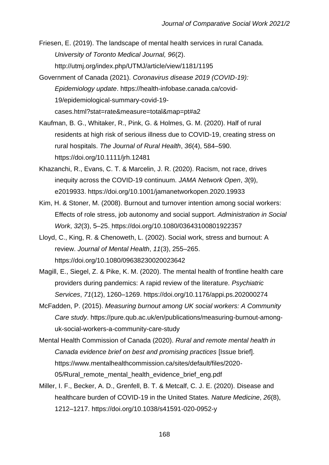Friesen, E. (2019). The landscape of mental health services in rural Canada. *University of Toronto Medical Journal, 96*(2). http://utmj.org/index.php/UTMJ/article/view/1181/1195

- Government of Canada (2021). *Coronavirus disease 2019 (COVID-19): Epidemiology update*. https://health-infobase.canada.ca/covid-19/epidemiological-summary-covid-19 cases.html?stat=rate&measure=total&map=pt#a2
- Kaufman, B. G., Whitaker, R., Pink, G. & Holmes, G. M. (2020). Half of rural residents at high risk of serious illness due to COVID-19, creating stress on rural hospitals. *The Journal of Rural Health*, *36*(4), 584–590. https://doi.org/10.1111/jrh.12481
- Khazanchi, R., Evans, C. T. & Marcelin, J. R. (2020). Racism, not race, drives inequity across the COVID-19 continuum. *JAMA Network Open*, *3*(9), e2019933. https://doi.org/10.1001/jamanetworkopen.2020.19933
- Kim, H. & Stoner, M. (2008). Burnout and turnover intention among social workers: Effects of role stress, job autonomy and social support. *Administration in Social Work*, *32*(3), 5–25[.](https://doi.org/10.1080/03643100801922357) https://doi.org/10.1080/03643100801922357
- Lloyd, C., King, R. & Chenoweth, L. (2002). Social work, stress and burnout: A review. *Journal of Mental Health*, *11*(3), 255–265. https://doi.org/10.1080/09638230020023642
- Magill, E., Siegel, Z. & Pike, K. M. (2020). The mental health of frontline health care providers during pandemics: A rapid review of the literature. *Psychiatric Services*, *71*(12), 1260–1269. https://doi.org/10.1176/appi.ps.202000274
- McFadden, P. (2015). *Measuring burnout among UK social workers: A Community Care study*. https://pure.qub.ac.uk/en/publications/measuring-burnout-amonguk-social-workers-a-community-care-study
- Mental Health Commission of Canada (2020). *Rural and remote mental health in Canada evidence brief on best and promising practices* [Issue brief]. https://www.mentalhealthcommission.ca/sites/default/files/2020- 05/Rural remote mental health evidence brief eng.pdf
- Miller, I. F., Becker, A. D., Grenfell, B. T. & Metcalf, C. J. E. (2020). Disease and healthcare burden of COVID-19 in the United States. *Nature Medicine*, *26*(8), 1212–1217. https://doi.org/10.1038/s41591-020-0952-y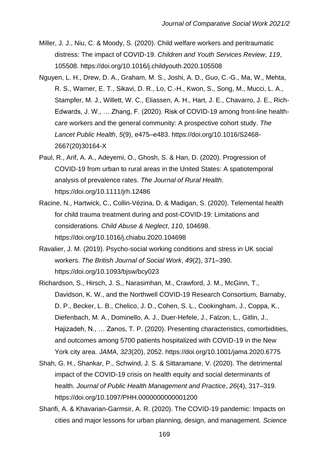- Miller, J. J., Niu, C. & Moody, S. (2020). Child welfare workers and peritraumatic distress: The impact of COVID-19. *Children and Youth Services Review*, *119*, 105508. https://doi.org/10.1016/j.childyouth.2020.105508
- Nguyen, L. H., Drew, D. A., Graham, M. S., Joshi, A. D., Guo, C.-G., Ma, W., Mehta, R. S., Warner, E. T., Sikavi, D. R., Lo, C.-H., Kwon, S., Song, M., Mucci, L. A., Stampfer, M. J., Willett, W. C., Eliassen, A. H., Hart, J. E., Chavarro, J. E., Rich-Edwards, J. W., … Zhang, F. (2020). Risk of COVID-19 among front-line healthcare workers and the general community: A prospective cohort study. *The Lancet Public Health*, *5*(9), e475–e483. https://doi.org/10.1016/S2468- 2667(20)30164-X
- Paul, R., Arif, A. A., Adeyemi, O., Ghosh, S. & Han, D. (2020). Progression of COVID-19 from urban to rural areas in the United States: A spatiotemporal analysis of prevalence rates. *The Journal of Rural Health*. https://doi.org/10.1111/jrh.12486
- Racine, N., Hartwick, C., Collin-Vézina, D. & Madigan, S. (2020). Telemental health for child trauma treatment during and post-COVID-19: Limitations and considerations. *Child Abuse & Neglect*, *110*, 104698. https://doi.org/10.1016/j.chiabu.2020.104698
- Ravalier, J. M. (2019). Psycho-social working conditions and stress in UK social workers. *The British Journal of Social Work*, *49*(2), 371–390. https://doi.org/10.1093/bjsw/bcy023
- Richardson, S., Hirsch, J. S., Narasimhan, M., Crawford, J. M., McGinn, T., Davidson, K. W., and the Northwell COVID-19 Research Consortium, Barnaby, D. P., Becker, L. B., Chelico, J. D., Cohen, S. L., Cookingham, J., Coppa, K., Diefenbach, M. A., Dominello, A. J., Duer-Hefele, J., Falzon, L., Gitlin, J., Hajizadeh, N., … Zanos, T. P. (2020). Presenting characteristics, comorbidities, and outcomes among 5700 patients hospitalized with COVID-19 in the New York city area. *JAMA*, *323*(20), 2052. https://doi.org/10.1001/jama.2020.6775
- Shah, G. H., Shankar, P., Schwind, J. S. & Sittaramane, V. (2020). The detrimental impact of the COVID-19 crisis on health equity and social determinants of health. *Journal of Public Health Management and Practice*, *26*(4), 317–319. https://doi.org/10.1097/PHH.0000000000001200
- Sharifi, A. & Khavarian-Garmsir, A. R. (2020). The COVID-19 pandemic: Impacts on cities and major lessons for urban planning, design, and management. *Science*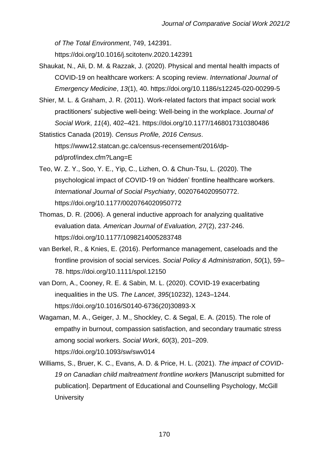*of The Total Environment*, 749, 142391.

https://doi.org/10.1016/j.scitotenv.2020.142391

- Shaukat, N., Ali, D. M. & Razzak, J. (2020). Physical and mental health impacts of COVID-19 on healthcare workers: A scoping review. *International Journal of Emergency Medicine*, *13*(1), 40. https://doi.org/10.1186/s12245-020-00299-5
- Shier, M. L. & Graham, J. R. (2011). Work-related factors that impact social work practitioners' subjective well-being: Well-being in the workplace. *Journal of Social Work*, *11*(4), 402–421. https://doi.org/10.1177/1468017310380486

Statistics Canada (2019). *Census Profile, 2016 Census*. https://www12.statcan.gc.ca/census-recensement/2016/dppd/prof/index.cfm?Lang=E

- Teo, W. Z. Y., Soo, Y. E., Yip, C., Lizhen, O. & Chun-Tsu, L. (2020). The psychological impact of COVID-19 on 'hidden' frontline healthcare workers. *International Journal of Social Psychiatry*, 0020764020950772. https://doi.org/10.1177/0020764020950772
- Thomas, D. R. (2006). A general inductive approach for analyzing qualitative evaluation data. *American Journal of Evaluation, 27*(2), 237-246. https://doi.org/10.1177/1098214005283748
- van Berkel, R., & Knies, E. (2016). Performance management, caseloads and the frontline provision of social services. *Social Policy & Administration*, *50*(1), 59– 78. https://doi.org/10.1111/spol.12150
- van Dorn, A., Cooney, R. E. & Sabin, M. L. (2020). COVID-19 exacerbating inequalities in the US. *The Lancet*, *395*(10232), 1243–1244. https://doi.org/10.1016/S0140-6736(20)30893-X
- Wagaman, M. A., Geiger, J. M., Shockley, C. & Segal, E. A. (2015). The role of empathy in burnout, compassion satisfaction, and secondary traumatic stress among social workers. *Social Work*, *60*(3), 201–209. https://doi.org/10.1093/sw/swv014
- Williams, S., Bruer, K. C., Evans, A. D. & Price, H. L. (2021). *The impact of COVID-19 on Canadian child maltreatment frontline workers* [Manuscript submitted for publication]. Department of Educational and Counselling Psychology, McGill **University**